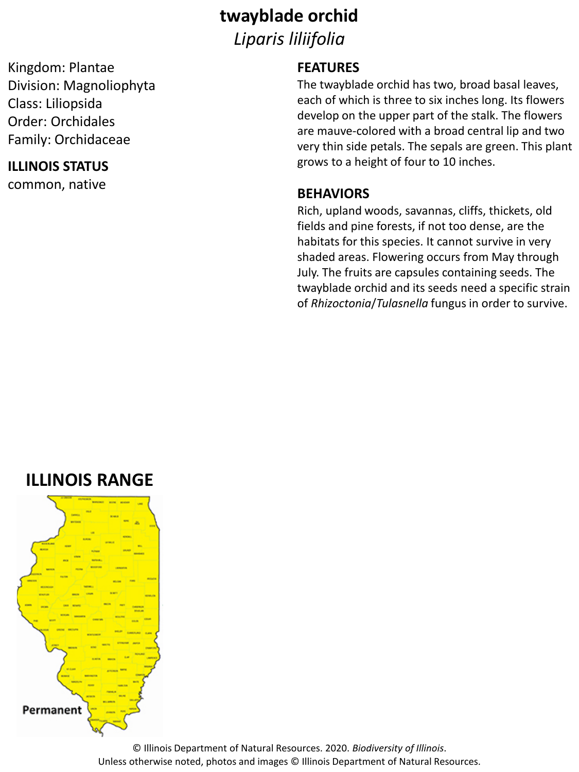### **twayblade orchid**

*Liparis liliifolia*

Kingdom: Plantae Division: Magnoliophyta Class: Liliopsida Order: Orchidales Family: Orchidaceae

### **ILLINOIS STATUS**

common, native

#### **FEATURES**

The twayblade orchid has two, broad basal leaves, each of which is three to six inches long. Its flowers develop on the upper part of the stalk. The flowers are mauve-colored with a broad central lip and two very thin side petals. The sepals are green. This plant grows to a height of four to 10 inches.

#### **BEHAVIORS**

Rich, upland woods, savannas, cliffs, thickets, old fields and pine forests, if not too dense, are the habitats for this species. It cannot survive in very shaded areas. Flowering occurs from May through July. The fruits are capsules containing seeds. The twayblade orchid and its seeds need a specific strain of *Rhizoctonia*/*Tulasnella* fungus in order to survive.

## **ILLINOIS RANGE**



© Illinois Department of Natural Resources. 2020. *Biodiversity of Illinois*. Unless otherwise noted, photos and images © Illinois Department of Natural Resources.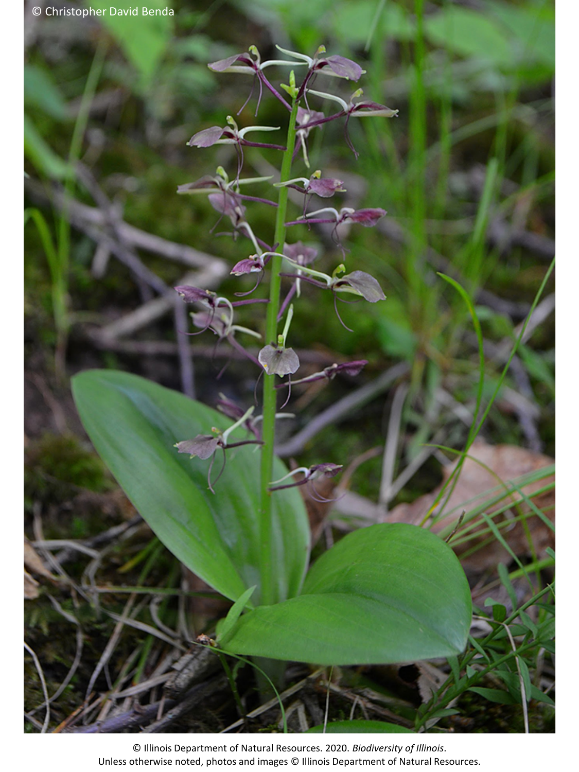© Illinois Department of Natural Resources. 2020. *Biodiversity of Illinois*. Unless otherwise noted, photos and images © Illinois Department of Natural Resources.